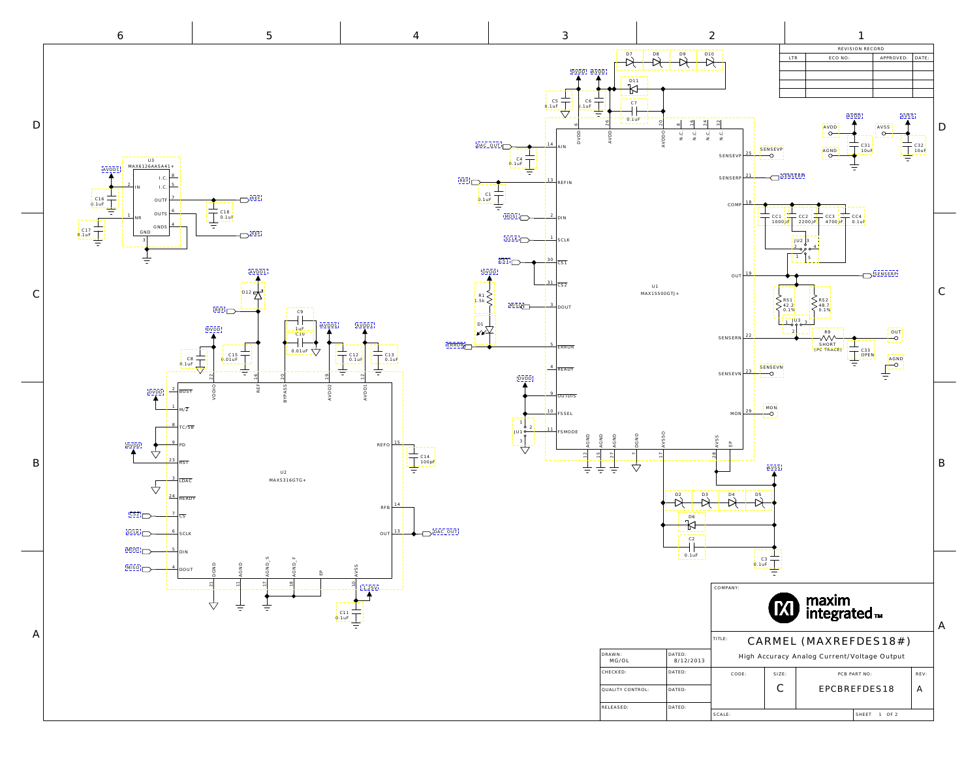<span id="page-0-0"></span>